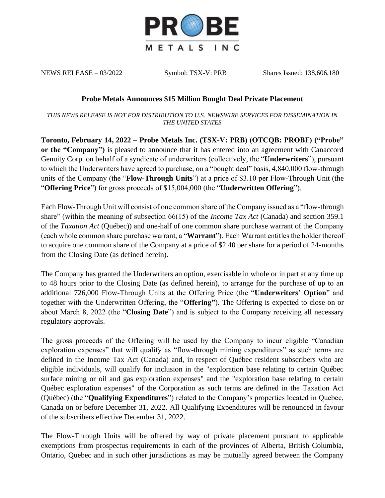

NEWS RELEASE – 03/2022 Symbol: TSX-V: PRB Shares Issued: 138,606,180

## **Probe Metals Announces \$15 Million Bought Deal Private Placement**

*THIS NEWS RELEASE IS NOT FOR DISTRIBUTION TO U.S. NEWSWIRE SERVICES FOR DISSEMINATION IN THE UNITED STATES*

**Toronto, February 14, 2022 – Probe Metals Inc. (TSX-V: PRB) (OTCQB: PROBF) ("Probe" or the "Company")** is pleased to announce that it has entered into an agreement with Canaccord Genuity Corp. on behalf of a syndicate of underwriters (collectively, the "**Underwriters**"), pursuant to which the Underwriters have agreed to purchase, on a "bought deal" basis, 4,840,000 flow-through units of the Company (the "**Flow-Through Units**") at a price of \$3.10 per Flow-Through Unit (the "**Offering Price**") for gross proceeds of \$15,004,000 (the "**Underwritten Offering**").

Each Flow-Through Unit will consist of one common share of the Company issued as a "flow-through share" (within the meaning of subsection 66(15) of the *Income Tax Act* (Canada) and section 359.1 of the *Taxation Act* (Québec)) and one-half of one common share purchase warrant of the Company (each whole common share purchase warrant, a "**Warrant**"). Each Warrant entitles the holder thereof to acquire one common share of the Company at a price of \$2.40 per share for a period of 24-months from the Closing Date (as defined herein).

The Company has granted the Underwriters an option, exercisable in whole or in part at any time up to 48 hours prior to the Closing Date (as defined herein), to arrange for the purchase of up to an additional 726,000 Flow-Through Units at the Offering Price (the "**Underwriters' Option**" and together with the Underwritten Offering, the "**Offering"**). The Offering is expected to close on or about March 8, 2022 (the "**Closing Date**") and is subject to the Company receiving all necessary regulatory approvals.

The gross proceeds of the Offering will be used by the Company to incur eligible "Canadian exploration expenses" that will qualify as "flow-through mining expenditures" as such terms are defined in the Income Tax Act (Canada) and, in respect of Québec resident subscribers who are eligible individuals, will qualify for inclusion in the "exploration base relating to certain Québec surface mining or oil and gas exploration expenses" and the "exploration base relating to certain Québec exploration expenses" of the Corporation as such terms are defined in the Taxation Act (Québec) (the "**Qualifying Expenditures**") related to the Company's properties located in Quebec, Canada on or before December 31, 2022. All Qualifying Expenditures will be renounced in favour of the subscribers effective December 31, 2022.

The Flow-Through Units will be offered by way of private placement pursuant to applicable exemptions from prospectus requirements in each of the provinces of Alberta, British Columbia, Ontario, Quebec and in such other jurisdictions as may be mutually agreed between the Company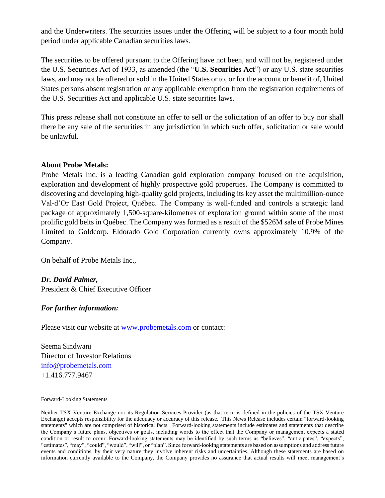and the Underwriters. The securities issues under the Offering will be subject to a four month hold period under applicable Canadian securities laws.

The securities to be offered pursuant to the Offering have not been, and will not be, registered under the U.S. Securities Act of 1933, as amended (the "**U.S. Securities Act**") or any U.S. state securities laws, and may not be offered or sold in the United States or to, or for the account or benefit of, United States persons absent registration or any applicable exemption from the registration requirements of the U.S. Securities Act and applicable U.S. state securities laws.

This press release shall not constitute an offer to sell or the solicitation of an offer to buy nor shall there be any sale of the securities in any jurisdiction in which such offer, solicitation or sale would be unlawful.

## **About Probe Metals:**

Probe Metals Inc. is a leading Canadian gold exploration company focused on the acquisition, exploration and development of highly prospective gold properties. The Company is committed to discovering and developing high-quality gold projects, including its key asset the multimillion-ounce Val-d'Or East Gold Project, Québec. The Company is well-funded and controls a strategic land package of approximately 1,500-square-kilometres of exploration ground within some of the most prolific gold belts in Québec. The Company was formed as a result of the \$526M sale of Probe Mines Limited to Goldcorp. Eldorado Gold Corporation currently owns approximately 10.9% of the Company.

On behalf of Probe Metals Inc.,

*Dr. David Palmer,* President & Chief Executive Officer

## *For further information:*

Please visit our website at [www.probemetals.com](http://www.probemetals.com/) or contact:

Seema Sindwani Director of Investor Relations [info@probemetals.com](mailto:info@probemetals.com) +1.416.777.9467

Forward-Looking Statements

Neither TSX Venture Exchange nor its Regulation Services Provider (as that term is defined in the policies of the TSX Venture Exchange) accepts responsibility for the adequacy or accuracy of this release. This News Release includes certain "forward-looking statements" which are not comprised of historical facts. Forward-looking statements include estimates and statements that describe the Company's future plans, objectives or goals, including words to the effect that the Company or management expects a stated condition or result to occur. Forward-looking statements may be identified by such terms as "believes", "anticipates", "expects", "estimates", "may", "could", "would", "will", or "plan". Since forward-looking statements are based on assumptions and address future events and conditions, by their very nature they involve inherent risks and uncertainties. Although these statements are based on information currently available to the Company, the Company provides no assurance that actual results will meet management's